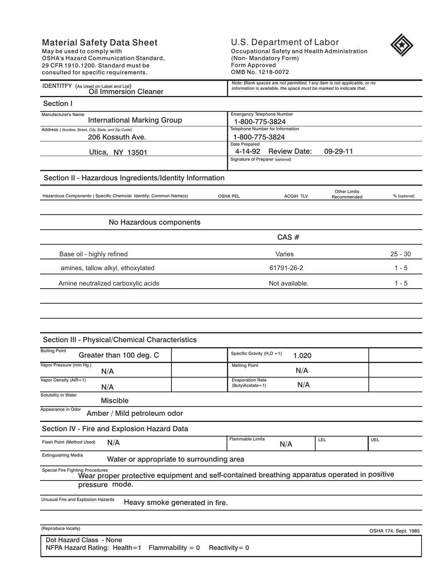## Material Safety Data Sheet

May be used to comply with OSHA's Hazard Communication Standard, 29 CFR 1910.1200. Standard must be consulted for specific requirements.

## U.S. Department of Labor Occupational Safety and Health Administration (Non- Mandatory Form) Form Approved OMB No. 1218-0072



 $\overline{a}$ 

| <b>IDENTITFY</b><br>(As Used on Label and List)<br><b>Jil Immersion (</b><br>Cleaner | Note: Blank spaces are not permitted. f any item is not applicable, or no<br>* information is available, the space must be marked to indicate that. |
|--------------------------------------------------------------------------------------|-----------------------------------------------------------------------------------------------------------------------------------------------------|

| Section I                                                        |                          |                                                         |                                    |              |  |
|------------------------------------------------------------------|--------------------------|---------------------------------------------------------|------------------------------------|--------------|--|
| Manufacturer's Name<br><b>International Marking Group</b>        |                          | <b>Emergency Telephone Number</b><br>1-800-775-3824     |                                    |              |  |
| Address (Number, Street, City, State, and Zip Code)              |                          | Telephone Number for Information                        |                                    |              |  |
| 206 Kossuth Ave.                                                 |                          | 1-800-775-3824                                          |                                    |              |  |
| Utica, NY 13501                                                  | Date Prepared<br>4-14-92 | <b>Review Date:</b><br>Signature of Preparer (optional) | 09-29-11                           |              |  |
| Section II - Hazardous Ingredients/Identity Information          |                          |                                                         |                                    |              |  |
| Hazardous Components (Specific Chemcial Identity; Common Name(s) | <b>OSHA PEL</b>          | <b>ACGIH TLV</b>                                        | <b>Other Limits</b><br>Recommended | % (optional) |  |
|                                                                  |                          |                                                         |                                    |              |  |
| No Hazardous components                                          |                          |                                                         |                                    |              |  |
|                                                                  |                          | $CAS \#$                                                |                                    |              |  |
| Base oil - highly refined                                        |                          | Varies                                                  |                                    |              |  |
| amines, tallow alkyl, ethoxylated                                |                          | 61791-26-2                                              |                                    | $1 - 5$      |  |
| Amine neutralized carboxylic acids                               |                          | Not available.                                          |                                    |              |  |
|                                                                  |                          |                                                         |                                    |              |  |

## Section III - Physical/Chemical Characteristics

| <b>Boiling Point</b>                                                                                                                    |  |                                             |       |     |     |
|-----------------------------------------------------------------------------------------------------------------------------------------|--|---------------------------------------------|-------|-----|-----|
| Greater than 100 deg. C                                                                                                                 |  | Specific Gravity ( $H2O = 1$ )              | 1.020 |     |     |
| Vapor Pressure (mm Hg.)<br>N/A                                                                                                          |  | <b>Melting Point</b>                        | N/A   |     |     |
| Vapor Density (AIR=1)<br>N/A                                                                                                            |  | <b>Evaporation Rate</b><br>(ButylAcetate=1) | N/A   |     |     |
| Solubility in Water<br><b>Miscible</b>                                                                                                  |  |                                             |       |     |     |
| Appearance in Odor<br>Amber / Mild petroleum odor                                                                                       |  |                                             |       |     |     |
| Section IV - Fire and Explosion Hazard Data                                                                                             |  |                                             |       |     |     |
| N/A<br>Flash Point (Method Used)                                                                                                        |  | <b>Flammable Limits</b>                     | N/A   | LEL | UEL |
| <b>Extinguishing Media</b><br>Water or appropriate to surrounding area                                                                  |  |                                             |       |     |     |
| <b>Special Fire Fighting Procedures</b><br>Wear proper protective equipment and self-contained breathing apparatus operated in positive |  |                                             |       |     |     |
| pressure mode.                                                                                                                          |  |                                             |       |     |     |
| Unusual Fire and Explosion Hazards<br>Heavy smoke generated in fire.                                                                    |  |                                             |       |     |     |
|                                                                                                                                         |  |                                             |       |     |     |

(Reproduce locally)

OSHA 174, Sept. 1985